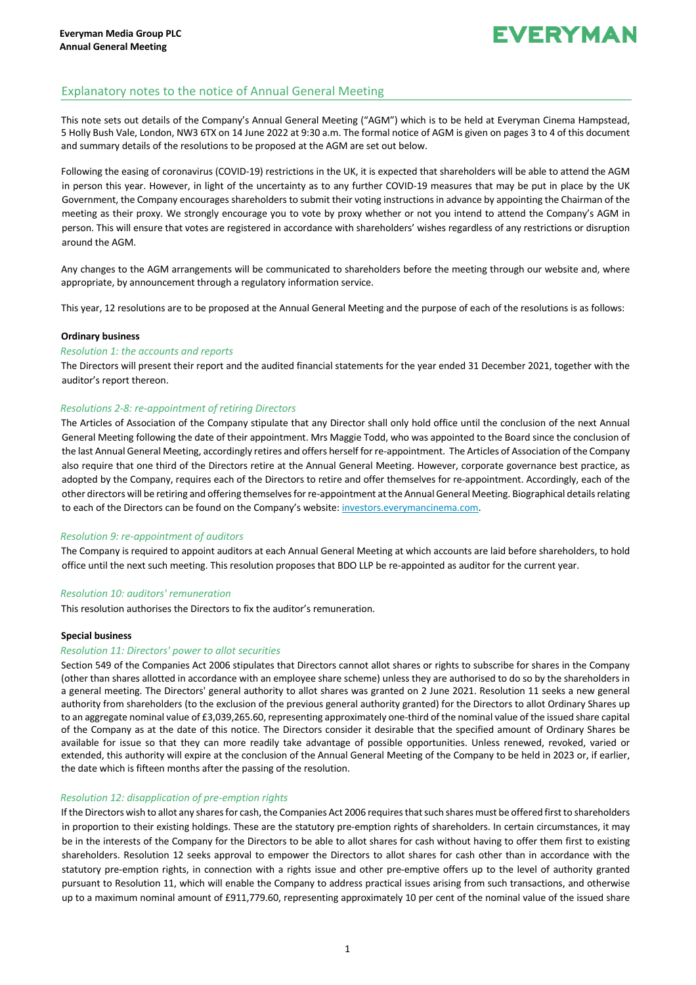## **EVERYMAN**

### Explanatory notes to the notice of Annual General Meeting

This note sets out details of the Company's Annual General Meeting ("AGM") which is to be held at Everyman Cinema Hampstead, 5 Holly Bush Vale, London, NW3 6TX on 14 June 2022 at 9:30 a.m. The formal notice of AGM is given on pages 3 to 4 of this document and summary details of the resolutions to be proposed at the AGM are set out below.

Following the easing of coronavirus (COVID-19) restrictions in the UK, it is expected that shareholders will be able to attend the AGM in person this year. However, in light of the uncertainty as to any further COVID-19 measures that may be put in place by the UK Government, the Company encourages shareholders to submit their voting instructions in advance by appointing the Chairman of the meeting as their proxy. We strongly encourage you to vote by proxy whether or not you intend to attend the Company's AGM in person. This will ensure that votes are registered in accordance with shareholders' wishes regardless of any restrictions or disruption around the AGM.

Any changes to the AGM arrangements will be communicated to shareholders before the meeting through our website and, where appropriate, by announcement through a regulatory information service.

This year, 12 resolutions are to be proposed at the Annual General Meeting and the purpose of each of the resolutions is as follows:

#### **Ordinary business**

#### *Resolution 1: the accounts and reports*

The Directors will present their report and the audited financial statements for the year ended 31 December 2021, together with the auditor's report thereon.

#### *Resolutions 2-8: re-appointment of retiring Directors*

The Articles of Association of the Company stipulate that any Director shall only hold office until the conclusion of the next Annual General Meeting following the date of their appointment. Mrs Maggie Todd, who was appointed to the Board since the conclusion of the last Annual General Meeting, accordingly retires and offers herself for re-appointment. The Articles of Association of the Company also require that one third of the Directors retire at the Annual General Meeting. However, corporate governance best practice, as adopted by the Company, requires each of the Directors to retire and offer themselves for re-appointment. Accordingly, each of the other directors will be retiring and offering themselves for re-appointment at the Annual General Meeting. Biographical details relating to each of the Directors can be found on the Company's website: investors.everymancinema.com.

#### *Resolution 9: re-appointment of auditors*

The Company is required to appoint auditors at each Annual General Meeting at which accounts are laid before shareholders, to hold office until the next such meeting. This resolution proposes that BDO LLP be re-appointed as auditor for the current year.

#### *Resolution 10: auditors' remuneration*

This resolution authorises the Directors to fix the auditor's remuneration.

#### **Special business**

#### *Resolution 11: Directors' power to allot securities*

Section 549 of the Companies Act 2006 stipulates that Directors cannot allot shares or rights to subscribe for shares in the Company (other than shares allotted in accordance with an employee share scheme) unless they are authorised to do so by the shareholders in a general meeting. The Directors' general authority to allot shares was granted on 2 June 2021. Resolution 11 seeks a new general authority from shareholders (to the exclusion of the previous general authority granted) for the Directors to allot Ordinary Shares up to an aggregate nominal value of £3,039,265.60, representing approximately one-third of the nominal value of the issued share capital of the Company as at the date of this notice. The Directors consider it desirable that the specified amount of Ordinary Shares be available for issue so that they can more readily take advantage of possible opportunities. Unless renewed, revoked, varied or extended, this authority will expire at the conclusion of the Annual General Meeting of the Company to be held in 2023 or, if earlier, the date which is fifteen months after the passing of the resolution.

#### *Resolution 12: disapplication of pre-emption rights*

If the Directors wish to allot any shares for cash, the Companies Act 2006 requires that such shares must be offered first to shareholders in proportion to their existing holdings. These are the statutory pre-emption rights of shareholders. In certain circumstances, it may be in the interests of the Company for the Directors to be able to allot shares for cash without having to offer them first to existing shareholders. Resolution 12 seeks approval to empower the Directors to allot shares for cash other than in accordance with the statutory pre-emption rights, in connection with a rights issue and other pre-emptive offers up to the level of authority granted pursuant to Resolution 11, which will enable the Company to address practical issues arising from such transactions, and otherwise up to a maximum nominal amount of £911,779.60, representing approximately 10 per cent of the nominal value of the issued share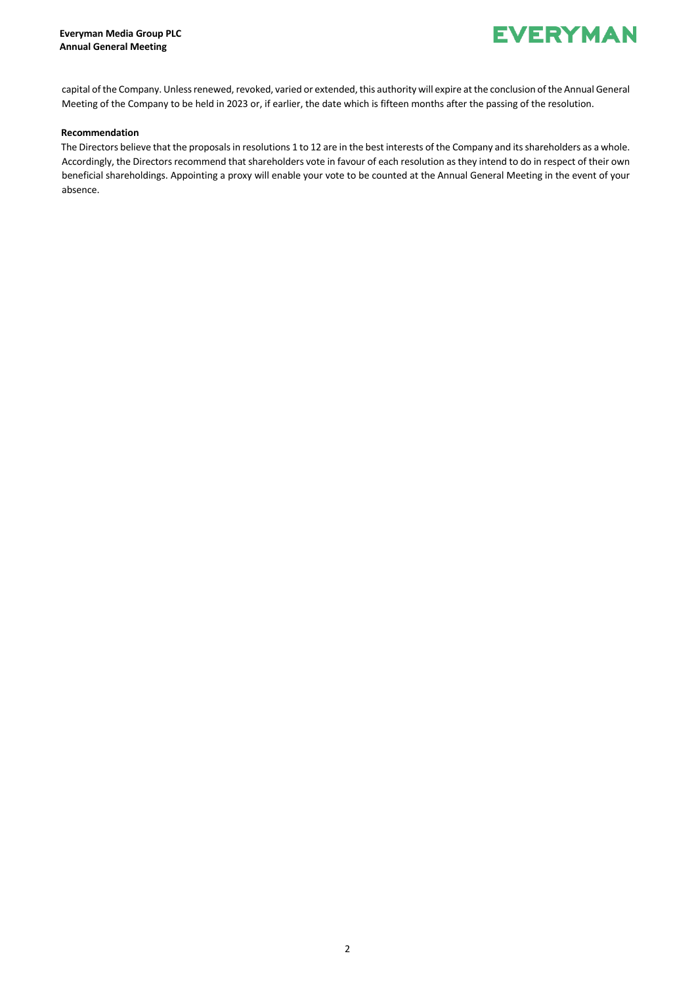

capital of the Company. Unless renewed, revoked, varied or extended, this authority will expire at the conclusion of the Annual General Meeting of the Company to be held in 2023 or, if earlier, the date which is fifteen months after the passing of the resolution.

#### **Recommendation**

The Directors believe that the proposals in resolutions 1 to 12 are in the best interests of the Company and its shareholders as a whole. Accordingly, the Directors recommend that shareholders vote in favour of each resolution as they intend to do in respect of their own beneficial shareholdings. Appointing a proxy will enable your vote to be counted at the Annual General Meeting in the event of your absence.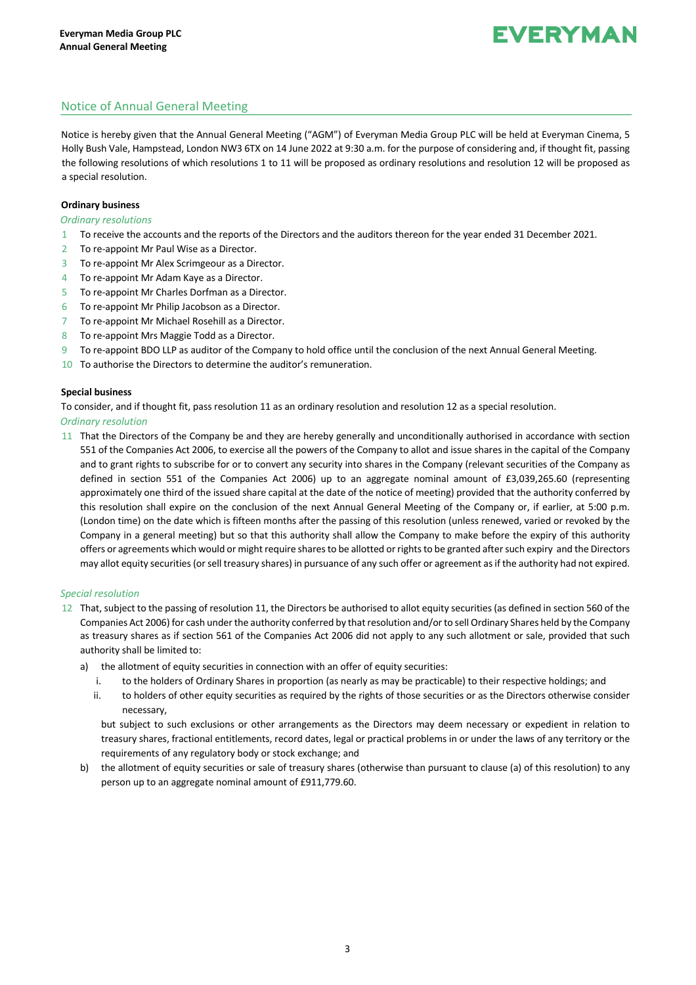# **FVERYMAN**

### Notice of Annual General Meeting

Notice is hereby given that the Annual General Meeting ("AGM") of Everyman Media Group PLC will be held at Everyman Cinema, 5 Holly Bush Vale, Hampstead, London NW3 6TX on 14 June 2022 at 9:30 a.m. for the purpose of considering and, if thought fit, passing the following resolutions of which resolutions 1 to 11 will be proposed as ordinary resolutions and resolution 12 will be proposed as a special resolution.

#### **Ordinary business**

#### *Ordinary resolutions*

- 1 To receive the accounts and the reports of the Directors and the auditors thereon for the year ended 31 December 2021.
- 2 To re-appoint Mr Paul Wise as a Director.
- 3 To re-appoint Mr Alex Scrimgeour as a Director.
- 4 To re-appoint Mr Adam Kaye as a Director.
- 5 To re-appoint Mr Charles Dorfman as a Director.
- 6 To re-appoint Mr Philip Jacobson as a Director.
- 7 To re-appoint Mr Michael Rosehill as a Director.
- 8 To re-appoint Mrs Maggie Todd as a Director.
- 9 To re-appoint BDO LLP as auditor of the Company to hold office until the conclusion of the next Annual General Meeting.
- 10 To authorise the Directors to determine the auditor's remuneration.

#### **Special business**

To consider, and if thought fit, pass resolution 11 as an ordinary resolution and resolution 12 as a special resolution.

#### *Ordinary resolution*

11 That the Directors of the Company be and they are hereby generally and unconditionally authorised in accordance with section 551 of the Companies Act 2006, to exercise all the powers of the Company to allot and issue shares in the capital of the Company and to grant rights to subscribe for or to convert any security into shares in the Company (relevant securities of the Company as defined in section 551 of the Companies Act 2006) up to an aggregate nominal amount of £3,039,265.60 (representing approximately one third of the issued share capital at the date of the notice of meeting) provided that the authority conferred by this resolution shall expire on the conclusion of the next Annual General Meeting of the Company or, if earlier, at 5:00 p.m. (London time) on the date which is fifteen months after the passing of this resolution (unless renewed, varied or revoked by the Company in a general meeting) but so that this authority shall allow the Company to make before the expiry of this authority offers or agreements which would or might require shares to be allotted or rights to be granted after such expiry and the Directors may allot equity securities (or sell treasury shares) in pursuance of any such offer or agreement as if the authority had not expired.

#### *Special resolution*

- 12 That, subject to the passing of resolution 11, the Directors be authorised to allot equity securities (as defined in section 560 of the Companies Act 2006) for cash under the authority conferred by that resolution and/or to sell Ordinary Shares held by the Company as treasury shares as if section 561 of the Companies Act 2006 did not apply to any such allotment or sale, provided that such authority shall be limited to:
	- a) the allotment of equity securities in connection with an offer of equity securities:
		- i. to the holders of Ordinary Shares in proportion (as nearly as may be practicable) to their respective holdings; and
		- ii. to holders of other equity securities as required by the rights of those securities or as the Directors otherwise consider necessary,

but subject to such exclusions or other arrangements as the Directors may deem necessary or expedient in relation to treasury shares, fractional entitlements, record dates, legal or practical problems in or under the laws of any territory or the requirements of any regulatory body or stock exchange; and

b) the allotment of equity securities or sale of treasury shares (otherwise than pursuant to clause (a) of this resolution) to any person up to an aggregate nominal amount of £911,779.60.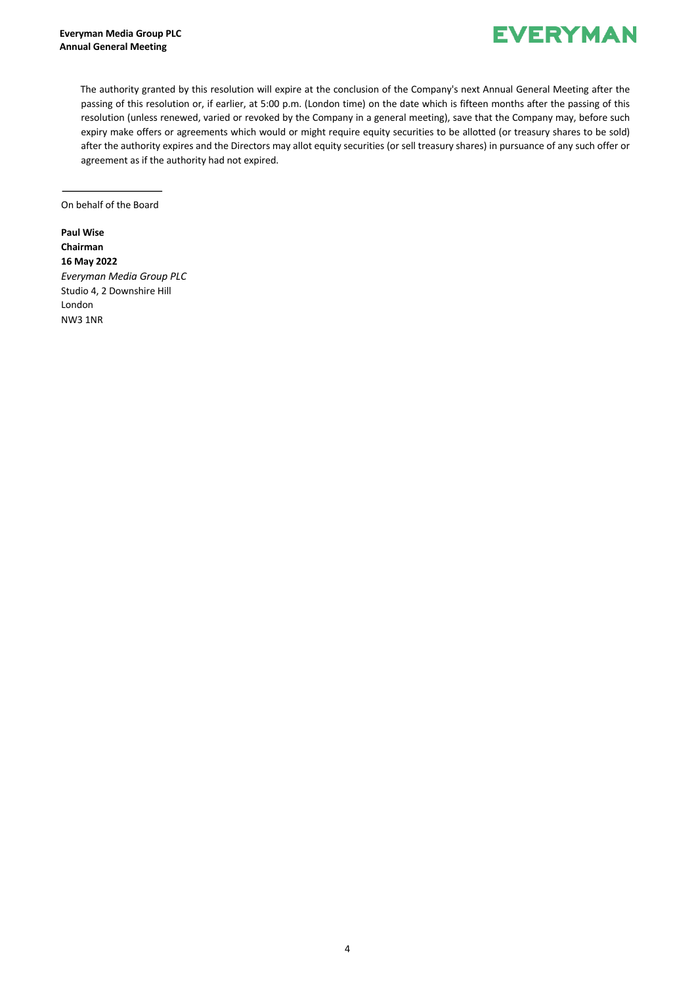

The authority granted by this resolution will expire at the conclusion of the Company's next Annual General Meeting after the passing of this resolution or, if earlier, at 5:00 p.m. (London time) on the date which is fifteen months after the passing of this resolution (unless renewed, varied or revoked by the Company in a general meeting), save that the Company may, before such expiry make offers or agreements which would or might require equity securities to be allotted (or treasury shares to be sold) after the authority expires and the Directors may allot equity securities (or sell treasury shares) in pursuance of any such offer or agreement as if the authority had not expired.

On behalf of the Board

**Paul Wise Chairman 16 May 2022** *Everyman Media Group PLC* Studio 4, 2 Downshire Hill London NW3 1NR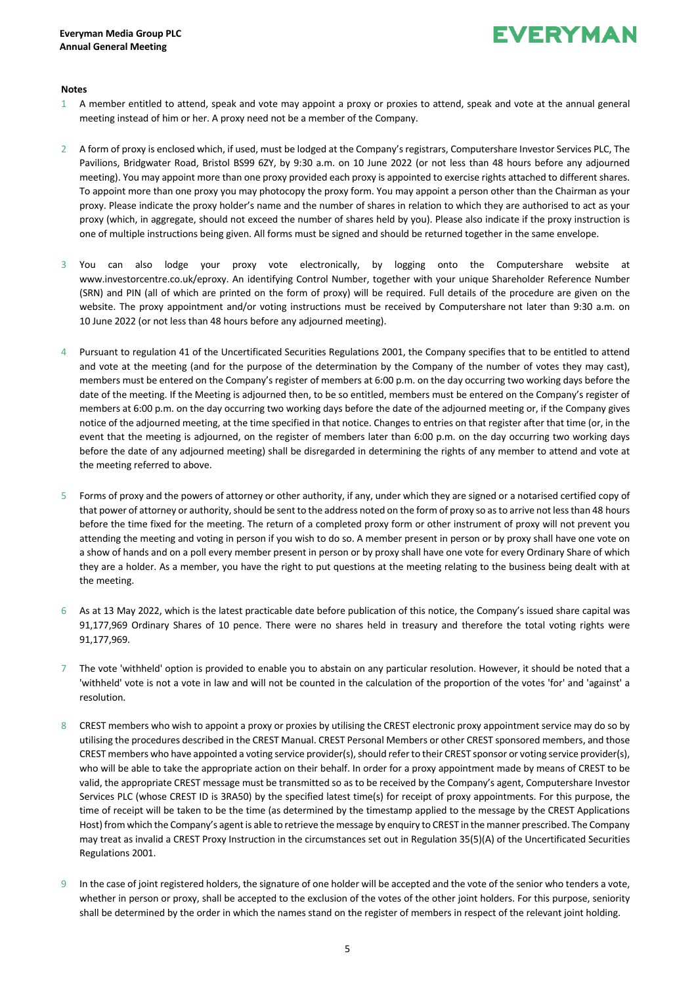## **EVERYMAN**

#### **Notes**

- 1 A member entitled to attend, speak and vote may appoint a proxy or proxies to attend, speak and vote at the annual general meeting instead of him or her. A proxy need not be a member of the Company.
- 2 A form of proxy is enclosed which, if used, must be lodged at the Company's registrars, Computershare Investor Services PLC, The Pavilions, Bridgwater Road, Bristol BS99 6ZY, by 9:30 a.m. on 10 June 2022 (or not less than 48 hours before any adjourned meeting). You may appoint more than one proxy provided each proxy is appointed to exercise rights attached to different shares. To appoint more than one proxy you may photocopy the proxy form. You may appoint a person other than the Chairman as your proxy. Please indicate the proxy holder's name and the number of shares in relation to which they are authorised to act as your proxy (which, in aggregate, should not exceed the number of shares held by you). Please also indicate if the proxy instruction is one of multiple instructions being given. All forms must be signed and should be returned together in the same envelope.
- 3 You can also lodge your proxy vote electronically, by logging onto the Computershare website at www.investorcentre.co.uk/eproxy. An identifying Control Number, together with your unique Shareholder Reference Number (SRN) and PIN (all of which are printed on the form of proxy) will be required. Full details of the procedure are given on the website. The proxy appointment and/or voting instructions must be received by Computershare not later than 9:30 a.m. on 10 June 2022 (or not less than 48 hours before any adjourned meeting).
- 4 Pursuant to regulation 41 of the Uncertificated Securities Regulations 2001, the Company specifies that to be entitled to attend and vote at the meeting (and for the purpose of the determination by the Company of the number of votes they may cast), members must be entered on the Company's register of members at 6:00 p.m. on the day occurring two working days before the date of the meeting. If the Meeting is adjourned then, to be so entitled, members must be entered on the Company's register of members at 6:00 p.m. on the day occurring two working days before the date of the adjourned meeting or, if the Company gives notice of the adjourned meeting, at the time specified in that notice. Changes to entries on that register after that time (or, in the event that the meeting is adjourned, on the register of members later than 6:00 p.m. on the day occurring two working days before the date of any adjourned meeting) shall be disregarded in determining the rights of any member to attend and vote at the meeting referred to above.
- 5 Forms of proxy and the powers of attorney or other authority, if any, under which they are signed or a notarised certified copy of that power of attorney or authority, should be sent to the address noted on the form of proxy so as to arrive not lessthan 48 hours before the time fixed for the meeting. The return of a completed proxy form or other instrument of proxy will not prevent you attending the meeting and voting in person if you wish to do so. A member present in person or by proxy shall have one vote on a show of hands and on a poll every member present in person or by proxy shall have one vote for every Ordinary Share of which they are a holder. As a member, you have the right to put questions at the meeting relating to the business being dealt with at the meeting.
- 6 As at 13 May 2022, which is the latest practicable date before publication of this notice, the Company's issued share capital was 91,177,969 Ordinary Shares of 10 pence. There were no shares held in treasury and therefore the total voting rights were 91,177,969.
- The vote 'withheld' option is provided to enable you to abstain on any particular resolution. However, it should be noted that a 'withheld' vote is not a vote in law and will not be counted in the calculation of the proportion of the votes 'for' and 'against' a resolution.
- 8 CREST members who wish to appoint a proxy or proxies by utilising the CREST electronic proxy appointment service may do so by utilising the procedures described in the CREST Manual. CREST Personal Members or other CREST sponsored members, and those CREST members who have appointed a voting service provider(s), should refer to their CREST sponsor or voting service provider(s), who will be able to take the appropriate action on their behalf. In order for a proxy appointment made by means of CREST to be valid, the appropriate CREST message must be transmitted so as to be received by the Company's agent, Computershare Investor Services PLC (whose CREST ID is 3RA50) by the specified latest time(s) for receipt of proxy appointments. For this purpose, the time of receipt will be taken to be the time (as determined by the timestamp applied to the message by the CREST Applications Host) from which the Company's agent is able to retrieve the message by enquiry to CREST in the manner prescribed. The Company may treat as invalid a CREST Proxy Instruction in the circumstances set out in Regulation 35(5)(A) of the Uncertificated Securities Regulations 2001.
- 9 In the case of joint registered holders, the signature of one holder will be accepted and the vote of the senior who tenders a vote, whether in person or proxy, shall be accepted to the exclusion of the votes of the other joint holders. For this purpose, seniority shall be determined by the order in which the names stand on the register of members in respect of the relevant joint holding.